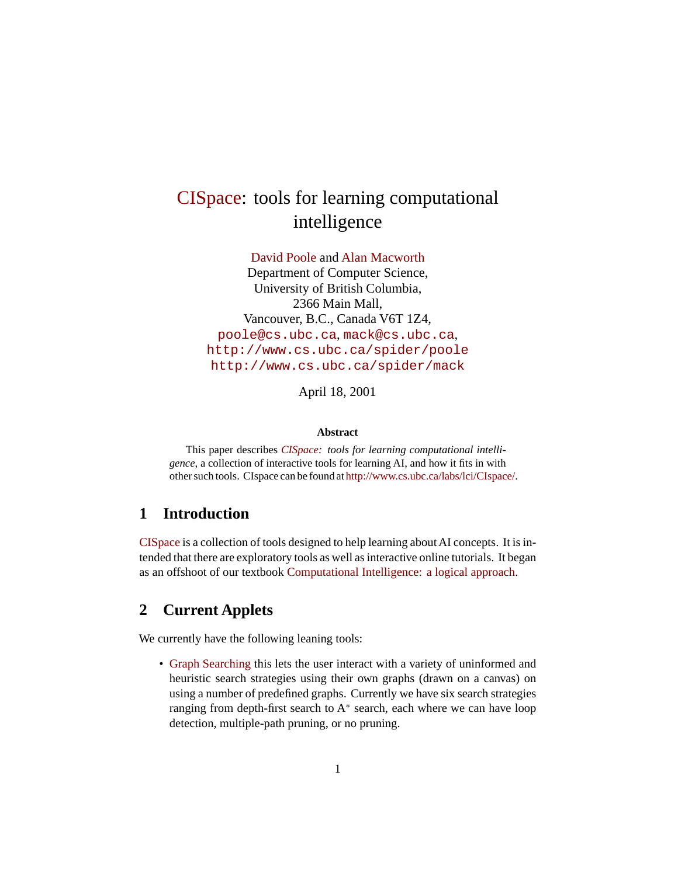# [CISpace](http://www.cs.ubc.ca/labs/lci/CIspace/): tools for learning computational intelligence

[David Poole](http://www.cs.ubc.ca/spider/poole/) and [Alan Macworth](http://www.cs.ubc.ca/spider/mack) Department of Computer Science, University of British Columbia, 2366 Main Mall, Vancouver, B.C., Canada V6T 1Z4, [poole@cs.ubc.ca](mailto:poole@cs.ubc.ca), [mack@cs.ubc.ca](mailto:mack@cs.ubc.ca), <http://www.cs.ubc.ca/spider/poole> <http://www.cs.ubc.ca/spider/mack>

April 18, 2001

#### **Abstract**

This paper describes *[CISpace:](http://www.cs.ubc.ca/labs/lci/CIspace/) tools for learning computational intelligence*, a collection of interactive tools for learning AI, and how it fits in with other such tools. CIspace can be found at <http://www.cs.ubc.ca/labs/lci/CIspace/>.

### **1 Introduction**

[CISpace](http://www.cs.ubc.ca/labs/lci/CIspace/) is a collection of tools designed to help learning about AI concepts. It is intended that there are exploratory tools as well as interactive online tutorials. It began as an offshoot of our textbook [Computational Intelligence: a logical approach](http://www.cs.ubc.ca/spider/poole/ci.html).

### **2 Current Applets**

We currently have the following leaning tools:

• [Graph Searching](http://www.cs.ubc.ca/labs/lci/CIspace/search.html) this lets the user interact with a variety of uninformed and heuristic search strategies using their own graphs (drawn on a canvas) on using a number of predefined graphs. Currently we have six search strategies ranging from depth-first search to  $A^*$  search, each where we can have loop detection, multiple-path pruning, or no pruning.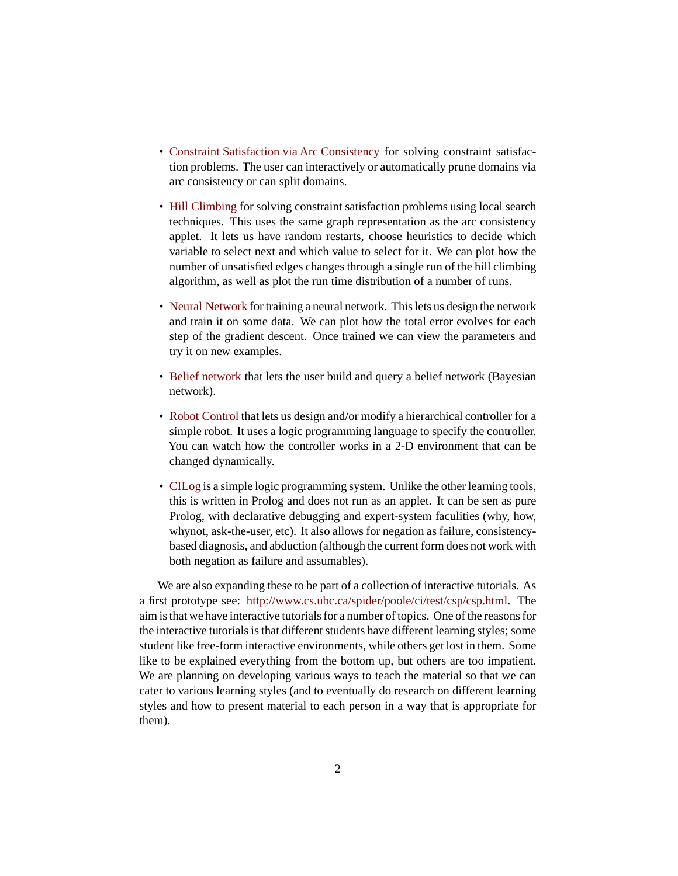- [Constraint Satisfaction via Arc Consistency](http://www.cs.ubc.ca/labs/lci/CIspace/csp.html) for solving constraint satisfaction problems. The user can interactively or automatically prune domains via arc consistency or can split domains.
- [Hill Climbing](http://www.cs.ubc.ca/labs/lci/CIspace/hill.html) for solving constraint satisfaction problems using local search techniques. This uses the same graph representation as the arc consistency applet. It lets us have random restarts, choose heuristics to decide which variable to select next and which value to select for it. We can plot how the number of unsatisfied edges changes through a single run of the hill climbing algorithm, as well as plot the run time distribution of a number of runs.
- [Neural Network](http://www.cs.ubc.ca/labs/lci/CIspace/neural.html) for training a neural network. This lets us design the network and train it on some data. We can plot how the total error evolves for each step of the gradient descent. Once trained we can view the parameters and try it on new examples.
- [Belief network](http://www.cs.ubc.ca/labs/lci/CIspace/bayes.html) that lets the user build and query a belief network (Bayesian network).
- [Robot Control](http://www.cs.ubc.ca/labs/lci/CIspace/robot.html) that lets us design and/or modify a hierarchical controller for a simple robot. It uses a logic programming language to specify the controller. You can watch how the controller works in a 2-D environment that can be changed dynamically.
- [CILog](http://www.cs.ubc.ca/spider/poole/ci/code/cilog/cilog_man.html) is a simple logic programming system. Unlike the other learning tools, this is written in Prolog and does not run as an applet. It can be sen as pure Prolog, with declarative debugging and expert-system faculities (why, how, whynot, ask-the-user, etc). It also allows for negation as failure, consistencybased diagnosis, and abduction (although the current form does not work with both negation as failure and assumables).

We are also expanding these to be part of a collection of interactive tutorials. As a first prototype see: <http://www.cs.ubc.ca/spider/poole/ci/test/csp/csp.html>. The aim is that we have interactive tutorials for a number of topics. One of the reasons for the interactive tutorials is that different students have different learning styles; some student like free-form interactive environments, while others get lost in them. Some like to be explained everything from the bottom up, but others are too impatient. We are planning on developing various ways to teach the material so that we can cater to various learning styles (and to eventually do research on different learning styles and how to present material to each person in a way that is appropriate for them).